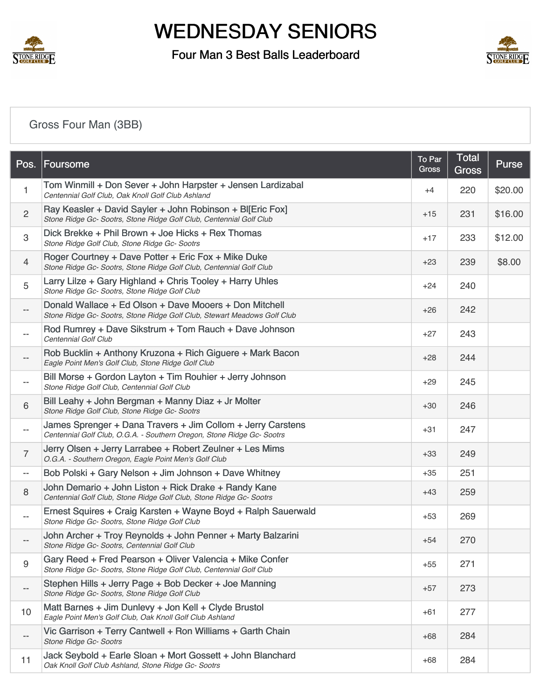

### Four Man 3 Best Balls Leaderboard



## [Gross Four Man \(3BB\)](https://static.golfgenius.com/v2tournaments/8587307120322443975?called_from=&round_index=43)

| Pos.                     | Foursome                                                                                                                              | To Par<br>Gross | <b>Total</b><br><b>Gross</b> | Purse   |
|--------------------------|---------------------------------------------------------------------------------------------------------------------------------------|-----------------|------------------------------|---------|
| 1                        | Tom Winmill + Don Sever + John Harpster + Jensen Lardizabal<br>Centennial Golf Club, Oak Knoll Golf Club Ashland                      | $+4$            | 220                          | \$20.00 |
| $\overline{c}$           | Ray Keasler + David Sayler + John Robinson + BI[Eric Fox]<br>Stone Ridge Gc- Sootrs, Stone Ridge Golf Club, Centennial Golf Club      | $+15$           | 231                          | \$16.00 |
| $\,3$                    | Dick Brekke + Phil Brown + Joe Hicks + Rex Thomas<br>Stone Ridge Golf Club, Stone Ridge Gc- Sootrs                                    | $+17$           | 233                          | \$12.00 |
| $\overline{4}$           | Roger Courtney + Dave Potter + Eric Fox + Mike Duke<br>Stone Ridge Gc- Sootrs, Stone Ridge Golf Club, Centennial Golf Club            | $+23$           | 239                          | \$8.00  |
| 5                        | Larry Lilze + Gary Highland + Chris Tooley + Harry Uhles<br>Stone Ridge Gc- Sootrs, Stone Ridge Golf Club                             | $+24$           | 240                          |         |
| $-\, -$                  | Donald Wallace + Ed Olson + Dave Mooers + Don Mitchell<br>Stone Ridge Gc- Sootrs, Stone Ridge Golf Club, Stewart Meadows Golf Club    | $+26$           | 242                          |         |
| $\qquad \qquad -$        | Rod Rumrey + Dave Sikstrum + Tom Rauch + Dave Johnson<br>Centennial Golf Club                                                         | $+27$           | 243                          |         |
| $\overline{\phantom{a}}$ | Rob Bucklin + Anthony Kruzona + Rich Giguere + Mark Bacon<br>Eagle Point Men's Golf Club, Stone Ridge Golf Club                       | $+28$           | 244                          |         |
| $\qquad \qquad -$        | Bill Morse + Gordon Layton + Tim Rouhier + Jerry Johnson<br>Stone Ridge Golf Club, Centennial Golf Club                               | $+29$           | 245                          |         |
| 6                        | Bill Leahy + John Bergman + Manny Diaz + Jr Molter<br>Stone Ridge Golf Club, Stone Ridge Gc- Sootrs                                   | $+30$           | 246                          |         |
| $\overline{\phantom{a}}$ | James Sprenger + Dana Travers + Jim Collom + Jerry Carstens<br>Centennial Golf Club, O.G.A. - Southern Oregon, Stone Ridge Gc- Sootrs | $+31$           | 247                          |         |
| $\overline{7}$           | Jerry Olsen + Jerry Larrabee + Robert Zeulner + Les Mims<br>O.G.A. - Southern Oregon, Eagle Point Men's Golf Club                     | $+33$           | 249                          |         |
| $-\, -$                  | Bob Polski + Gary Nelson + Jim Johnson + Dave Whitney                                                                                 | $+35$           | 251                          |         |
| 8                        | John Demario + John Liston + Rick Drake + Randy Kane<br>Centennial Golf Club, Stone Ridge Golf Club, Stone Ridge Gc- Sootrs           | +43             | 259                          |         |
| $\overline{\phantom{m}}$ | Ernest Squires + Craig Karsten + Wayne Boyd + Ralph Sauerwald<br>Stone Ridge Gc- Sootrs, Stone Ridge Golf Club                        | $+53$           | 269                          |         |
|                          | John Archer + Troy Reynolds + John Penner + Marty Balzarini<br>Stone Ridge Gc- Sootrs, Centennial Golf Club                           | $+54$           | 270                          |         |
| 9                        | Gary Reed + Fred Pearson + Oliver Valencia + Mike Confer<br>Stone Ridge Gc- Sootrs, Stone Ridge Golf Club, Centennial Golf Club       | $+55$           | 271                          |         |
| $-\,-$                   | Stephen Hills + Jerry Page + Bob Decker + Joe Manning<br>Stone Ridge Gc- Sootrs, Stone Ridge Golf Club                                | $+57$           | 273                          |         |
| 10                       | Matt Barnes + Jim Dunlevy + Jon Kell + Clyde Brustol<br>Eagle Point Men's Golf Club, Oak Knoll Golf Club Ashland                      | +61             | 277                          |         |
| $-\,-$                   | Vic Garrison + Terry Cantwell + Ron Williams + Garth Chain<br>Stone Ridge Gc- Sootrs                                                  | $+68$           | 284                          |         |
| 11                       | Jack Seybold + Earle Sloan + Mort Gossett + John Blanchard<br>Oak Knoll Golf Club Ashland, Stone Ridge Gc- Sootrs                     | $+68$           | 284                          |         |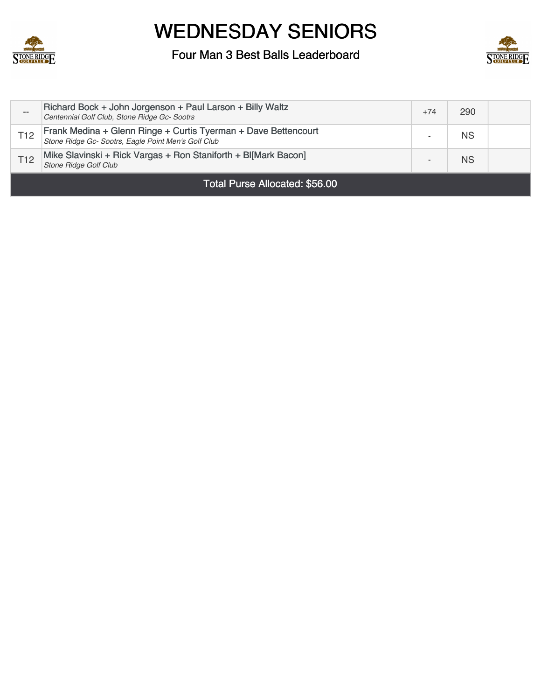



| Total Purse Allocated: \$56.00 |                                                                                                                       |       |           |  |
|--------------------------------|-----------------------------------------------------------------------------------------------------------------------|-------|-----------|--|
| T <sub>12</sub>                | Mike Slavinski + Rick Vargas + Ron Staniforth + Bl[Mark Bacon]<br><b>Stone Ridge Golf Club</b>                        |       | <b>NS</b> |  |
| T <sub>12</sub>                | Frank Medina + Glenn Ringe + Curtis Tyerman + Dave Bettencourt<br>Stone Ridge Gc- Sootrs, Eagle Point Men's Golf Club |       | <b>NS</b> |  |
| --                             | Richard Bock + John Jorgenson + Paul Larson + Billy Waltz<br>Centennial Golf Club, Stone Ridge Gc- Sootrs             | $+74$ | 290       |  |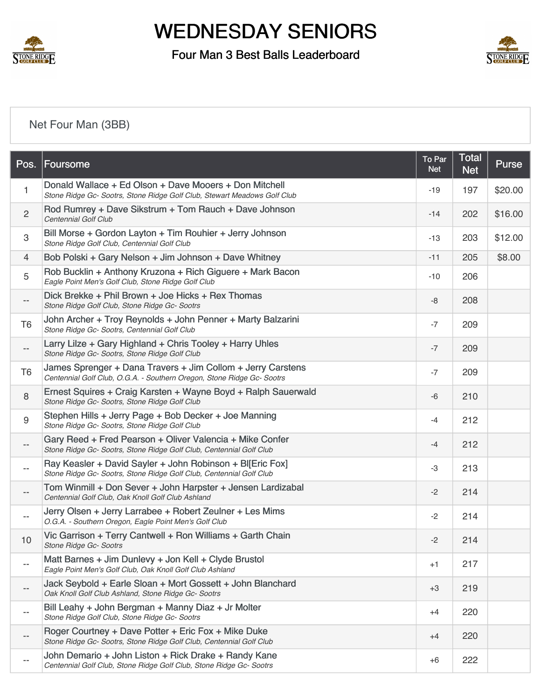

### Four Man 3 Best Balls Leaderboard



## [Net Four Man \(3BB\)](https://static.golfgenius.com/v2tournaments/8587307126899112648?called_from=&round_index=43)

| Pos.                     | Foursome                                                                                                                              | To Par<br><b>Net</b> | Total<br><b>Net</b> | Purse   |
|--------------------------|---------------------------------------------------------------------------------------------------------------------------------------|----------------------|---------------------|---------|
| 1                        | Donald Wallace + Ed Olson + Dave Mooers + Don Mitchell<br>Stone Ridge Gc- Sootrs, Stone Ridge Golf Club, Stewart Meadows Golf Club    | $-19$                | 197                 | \$20.00 |
| $\overline{2}$           | Rod Rumrey + Dave Sikstrum + Tom Rauch + Dave Johnson<br>Centennial Golf Club                                                         | $-14$                | 202                 | \$16.00 |
| $\,3$                    | Bill Morse + Gordon Layton + Tim Rouhier + Jerry Johnson<br>Stone Ridge Golf Club, Centennial Golf Club                               | $-13$                | 203                 | \$12.00 |
| $\overline{4}$           | Bob Polski + Gary Nelson + Jim Johnson + Dave Whitney                                                                                 | $-11$                | 205                 | \$8.00  |
| 5                        | Rob Bucklin + Anthony Kruzona + Rich Giguere + Mark Bacon<br>Eagle Point Men's Golf Club, Stone Ridge Golf Club                       | $-10$                | 206                 |         |
| $\overline{\phantom{a}}$ | Dick Brekke + Phil Brown + Joe Hicks + Rex Thomas<br>Stone Ridge Golf Club, Stone Ridge Gc- Sootrs                                    | -8                   | 208                 |         |
| T <sub>6</sub>           | John Archer + Troy Reynolds + John Penner + Marty Balzarini<br>Stone Ridge Gc- Sootrs, Centennial Golf Club                           | $-7$                 | 209                 |         |
| $\overline{\phantom{m}}$ | Larry Lilze + Gary Highland + Chris Tooley + Harry Uhles<br>Stone Ridge Gc- Sootrs, Stone Ridge Golf Club                             | $-7$                 | 209                 |         |
| T <sub>6</sub>           | James Sprenger + Dana Travers + Jim Collom + Jerry Carstens<br>Centennial Golf Club, O.G.A. - Southern Oregon, Stone Ridge Gc- Sootrs | $-7$                 | 209                 |         |
| $\,8\,$                  | Ernest Squires + Craig Karsten + Wayne Boyd + Ralph Sauerwald<br>Stone Ridge Gc- Sootrs, Stone Ridge Golf Club                        | -6                   | 210                 |         |
| $\boldsymbol{9}$         | Stephen Hills + Jerry Page + Bob Decker + Joe Manning<br>Stone Ridge Gc- Sootrs, Stone Ridge Golf Club                                | $-4$                 | 212                 |         |
| $-$                      | Gary Reed + Fred Pearson + Oliver Valencia + Mike Confer<br>Stone Ridge Gc- Sootrs, Stone Ridge Golf Club, Centennial Golf Club       | $-4$                 | 212                 |         |
| $- -$                    | Ray Keasler + David Sayler + John Robinson + Bl[Eric Fox]<br>Stone Ridge Gc- Sootrs, Stone Ridge Golf Club, Centennial Golf Club      | $-3$                 | 213                 |         |
| $-$                      | Tom Winmill + Don Sever + John Harpster + Jensen Lardizabal<br>Centennial Golf Club, Oak Knoll Golf Club Ashland                      | $-2$                 | 214                 |         |
| $\overline{\phantom{m}}$ | Jerry Olsen + Jerry Larrabee + Robert Zeulner + Les Mims<br>O.G.A. - Southern Oregon, Eagle Point Men's Golf Club                     | $-2$                 | 214                 |         |
| 10                       | Vic Garrison + Terry Cantwell + Ron Williams + Garth Chain<br>Stone Hidge Gc-Sootrs                                                   | $-2$                 | 214                 |         |
| $-$                      | Matt Barnes + Jim Dunlevy + Jon Kell + Clyde Brustol<br>Eagle Point Men's Golf Club, Oak Knoll Golf Club Ashland                      | $+1$                 | 217                 |         |
| $-$                      | Jack Seybold + Earle Sloan + Mort Gossett + John Blanchard<br>Oak Knoll Golf Club Ashland, Stone Ridge Gc- Sootrs                     | $+3$                 | 219                 |         |
| $-$                      | Bill Leahy + John Bergman + Manny Diaz + Jr Molter<br>Stone Ridge Golf Club, Stone Ridge Gc- Sootrs                                   | $+4$                 | 220                 |         |
|                          | Roger Courtney + Dave Potter + Eric Fox + Mike Duke<br>Stone Ridge Gc- Sootrs, Stone Ridge Golf Club, Centennial Golf Club            | $+4$                 | 220                 |         |
| $-$                      | John Demario + John Liston + Rick Drake + Randy Kane<br>Centennial Golf Club, Stone Ridge Golf Club, Stone Ridge Gc- Sootrs           | $+6$                 | 222                 |         |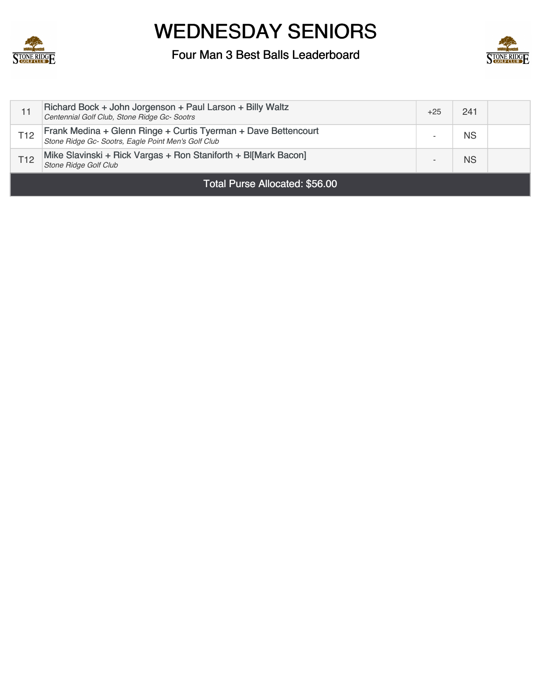



|                                | Richard Bock + John Jorgenson + Paul Larson + Billy Waltz<br>Centennial Golf Club, Stone Ridge Gc- Sootrs             | $+25$ | 241 |  |
|--------------------------------|-----------------------------------------------------------------------------------------------------------------------|-------|-----|--|
| T <sub>12</sub>                | Frank Medina + Glenn Ringe + Curtis Tyerman + Dave Bettencourt<br>Stone Ridge Gc- Sootrs, Eagle Point Men's Golf Club |       | ΝS  |  |
| T <sub>12</sub>                | Mike Slavinski + Rick Vargas + Ron Staniforth + Bl[Mark Bacon]<br><b>Stone Ridge Golf Club</b>                        |       | ΝS  |  |
| Total Purse Allocated: \$56.00 |                                                                                                                       |       |     |  |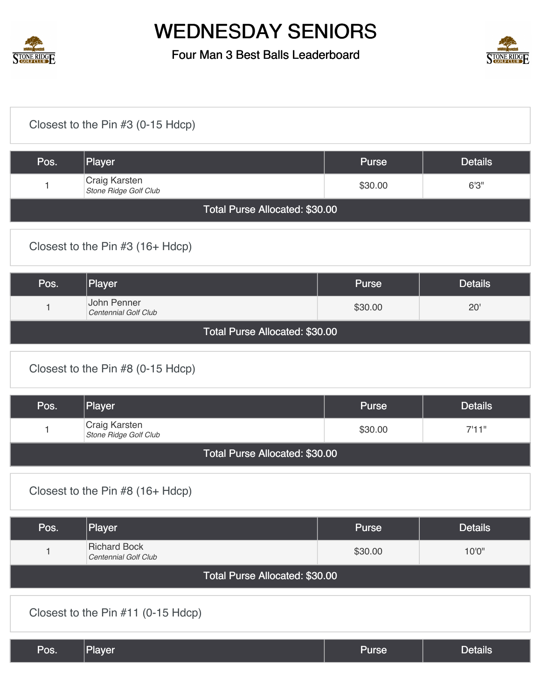



| Closest to the Pin #3 (0-15 Hdcp)  |                                             |              |                |  |  |
|------------------------------------|---------------------------------------------|--------------|----------------|--|--|
| Pos.                               | Player                                      | <b>Purse</b> | <b>Details</b> |  |  |
| 1                                  | Craig Karsten<br>Stone Ridge Golf Club      | \$30.00      | 6'3''          |  |  |
|                                    | Total Purse Allocated: \$30.00              |              |                |  |  |
|                                    | Closest to the Pin #3 (16+ Hdcp)            |              |                |  |  |
| Pos.                               | Player                                      | <b>Purse</b> | <b>Details</b> |  |  |
| 1                                  | John Penner<br>Centennial Golf Club         | \$30.00      | 20'            |  |  |
|                                    | Total Purse Allocated: \$30.00              |              |                |  |  |
|                                    | Closest to the Pin #8 (0-15 Hdcp)           |              |                |  |  |
| Pos.                               | Player                                      | Purse        | <b>Details</b> |  |  |
| 1                                  | Craig Karsten<br>Stone Ridge Golf Club      | \$30.00      | 7'11"          |  |  |
|                                    | Total Purse Allocated: \$30.00              |              |                |  |  |
| Closest to the Pin #8 (16+ Hdcp)   |                                             |              |                |  |  |
| Pos.                               | Player                                      | <b>Purse</b> | <b>Details</b> |  |  |
| $\mathbf{1}$                       | <b>Richard Bock</b><br>Centennial Golf Club | \$30.00      | 10'0"          |  |  |
| Total Purse Allocated: \$30.00     |                                             |              |                |  |  |
| Closest to the Pin #11 (0-15 Hdcp) |                                             |              |                |  |  |
| Pos.                               | Player                                      | <b>Purse</b> | <b>Details</b> |  |  |